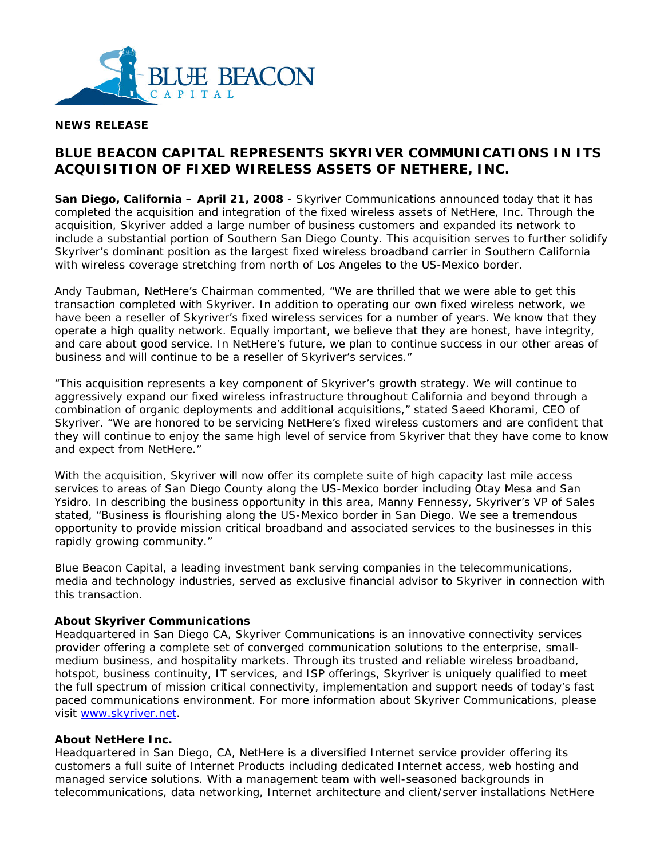

## **NEWS RELEASE**

# **BLUE BEACON CAPITAL REPRESENTS SKYRIVER COMMUNICATIONS IN ITS ACQUISITION OF FIXED WIRELESS ASSETS OF NETHERE, INC.**

**San Diego, California – April 21, 2008** - Skyriver Communications announced today that it has completed the acquisition and integration of the fixed wireless assets of NetHere, Inc. Through the acquisition, Skyriver added a large number of business customers and expanded its network to include a substantial portion of Southern San Diego County. This acquisition serves to further solidify Skyriver's dominant position as the largest fixed wireless broadband carrier in Southern California with wireless coverage stretching from north of Los Angeles to the US-Mexico border.

Andy Taubman, NetHere's Chairman commented, "We are thrilled that we were able to get this transaction completed with Skyriver. In addition to operating our own fixed wireless network, we have been a reseller of Skyriver's fixed wireless services for a number of years. We know that they operate a high quality network. Equally important, we believe that they are honest, have integrity, and care about good service. In NetHere's future, we plan to continue success in our other areas of business and will continue to be a reseller of Skyriver's services."

"This acquisition represents a key component of Skyriver's growth strategy. We will continue to aggressively expand our fixed wireless infrastructure throughout California and beyond through a combination of organic deployments and additional acquisitions," stated Saeed Khorami, CEO of Skyriver. "We are honored to be servicing NetHere's fixed wireless customers and are confident that they will continue to enjoy the same high level of service from Skyriver that they have come to know and expect from NetHere."

With the acquisition, Skyriver will now offer its complete suite of high capacity last mile access services to areas of San Diego County along the US-Mexico border including Otay Mesa and San Ysidro. In describing the business opportunity in this area, Manny Fennessy, Skyriver's VP of Sales stated, "Business is flourishing along the US-Mexico border in San Diego. We see a tremendous opportunity to provide mission critical broadband and associated services to the businesses in this rapidly growing community."

Blue Beacon Capital, a leading investment bank serving companies in the telecommunications, media and technology industries, served as exclusive financial advisor to Skyriver in connection with this transaction.

#### **About Skyriver Communications**

Headquartered in San Diego CA, Skyriver Communications is an innovative connectivity services provider offering a complete set of converged communication solutions to the enterprise, smallmedium business, and hospitality markets. Through its trusted and reliable wireless broadband, hotspot, business continuity, IT services, and ISP offerings, Skyriver is uniquely qualified to meet the full spectrum of mission critical connectivity, implementation and support needs of today's fast paced communications environment. For more information about Skyriver Communications, please visit www.skyriver.net.

### **About NetHere Inc.**

Headquartered in San Diego, CA, NetHere is a diversified Internet service provider offering its customers a full suite of Internet Products including dedicated Internet access, web hosting and managed service solutions. With a management team with well-seasoned backgrounds in telecommunications, data networking, Internet architecture and client/server installations NetHere